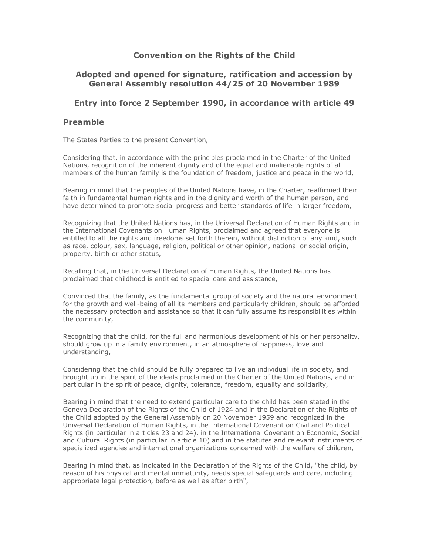#### **Convention on the Rights of the Child**

### **Adopted and opened for signature, ratification and accession by General Assembly resolution 44/25 of 20 November 1989**

#### **Entry into force 2 September 1990, in accordance with article 49**

#### **Preamble**

The States Parties to the present Convention,

Considering that, in accordance with the principles proclaimed in the Charter of the United Nations, recognition of the inherent dignity and of the equal and inalienable rights of all members of the human family is the foundation of freedom, justice and peace in the world,

Bearing in mind that the peoples of the United Nations have, in the Charter, reaffirmed their faith in fundamental human rights and in the dignity and worth of the human person, and have determined to promote social progress and better standards of life in larger freedom,

Recognizing that the United Nations has, in the Universal Declaration of Human Rights and in the International Covenants on Human Rights, proclaimed and agreed that everyone is entitled to all the rights and freedoms set forth therein, without distinction of any kind, such as race, colour, sex, language, religion, political or other opinion, national or social origin, property, birth or other status,

Recalling that, in the Universal Declaration of Human Rights, the United Nations has proclaimed that childhood is entitled to special care and assistance,

Convinced that the family, as the fundamental group of society and the natural environment for the growth and well-being of all its members and particularly children, should be afforded the necessary protection and assistance so that it can fully assume its responsibilities within the community,

Recognizing that the child, for the full and harmonious development of his or her personality, should grow up in a family environment, in an atmosphere of happiness, love and understanding,

Considering that the child should be fully prepared to live an individual life in society, and brought up in the spirit of the ideals proclaimed in the Charter of the United Nations, and in particular in the spirit of peace, dignity, tolerance, freedom, equality and solidarity,

Bearing in mind that the need to extend particular care to the child has been stated in the Geneva Declaration of the Rights of the Child of 1924 and in the Declaration of the Rights of the Child adopted by the General Assembly on 20 November 1959 and recognized in the Universal Declaration of Human Rights, in the International Covenant on Civil and Political Rights (in particular in articles 23 and 24), in the International Covenant on Economic, Social and Cultural Rights (in particular in article 10) and in the statutes and relevant instruments of specialized agencies and international organizations concerned with the welfare of children,

Bearing in mind that, as indicated in the Declaration of the Rights of the Child, "the child, by reason of his physical and mental immaturity, needs special safeguards and care, including appropriate legal protection, before as well as after birth",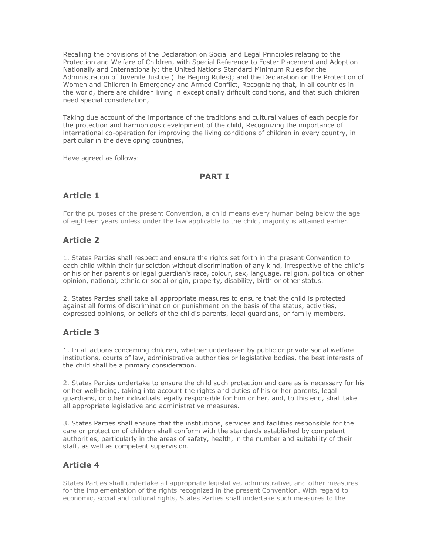Recalling the provisions of the Declaration on Social and Legal Principles relating to the Protection and Welfare of Children, with Special Reference to Foster Placement and Adoption Nationally and Internationally; the United Nations Standard Minimum Rules for the Administration of Juvenile Justice (The Beijing Rules); and the Declaration on the Protection of Women and Children in Emergency and Armed Conflict, Recognizing that, in all countries in the world, there are children living in exceptionally difficult conditions, and that such children need special consideration,

Taking due account of the importance of the traditions and cultural values of each people for the protection and harmonious development of the child, Recognizing the importance of international co-operation for improving the living conditions of children in every country, in particular in the developing countries,

Have agreed as follows:

#### **PART I**

## **Article 1**

For the purposes of the present Convention, a child means every human being below the age of eighteen years unless under the law applicable to the child, majority is attained earlier.

## **Article 2**

1. States Parties shall respect and ensure the rights set forth in the present Convention to each child within their jurisdiction without discrimination of any kind, irrespective of the child's or his or her parent's or legal guardian's race, colour, sex, language, religion, political or other opinion, national, ethnic or social origin, property, disability, birth or other status.

2. States Parties shall take all appropriate measures to ensure that the child is protected against all forms of discrimination or punishment on the basis of the status, activities, expressed opinions, or beliefs of the child's parents, legal guardians, or family members.

# **Article 3**

1. In all actions concerning children, whether undertaken by public or private social welfare institutions, courts of law, administrative authorities or legislative bodies, the best interests of the child shall be a primary consideration.

2. States Parties undertake to ensure the child such protection and care as is necessary for his or her well-being, taking into account the rights and duties of his or her parents, legal guardians, or other individuals legally responsible for him or her, and, to this end, shall take all appropriate legislative and administrative measures.

3. States Parties shall ensure that the institutions, services and facilities responsible for the care or protection of children shall conform with the standards established by competent authorities, particularly in the areas of safety, health, in the number and suitability of their staff, as well as competent supervision.

### **Article 4**

States Parties shall undertake all appropriate legislative, administrative, and other measures for the implementation of the rights recognized in the present Convention. With regard to economic, social and cultural rights, States Parties shall undertake such measures to the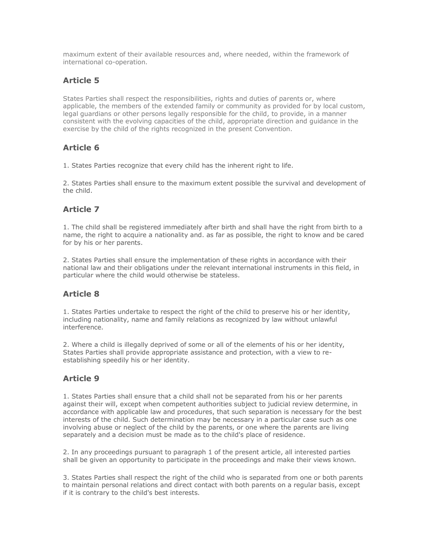maximum extent of their available resources and, where needed, within the framework of international co-operation.

# **Article 5**

States Parties shall respect the responsibilities, rights and duties of parents or, where applicable, the members of the extended family or community as provided for by local custom, legal guardians or other persons legally responsible for the child, to provide, in a manner consistent with the evolving capacities of the child, appropriate direction and guidance in the exercise by the child of the rights recognized in the present Convention.

# **Article 6**

1. States Parties recognize that every child has the inherent right to life.

2. States Parties shall ensure to the maximum extent possible the survival and development of the child.

# **Article 7**

1. The child shall be registered immediately after birth and shall have the right from birth to a name, the right to acquire a nationality and. as far as possible, the right to know and be cared for by his or her parents.

2. States Parties shall ensure the implementation of these rights in accordance with their national law and their obligations under the relevant international instruments in this field, in particular where the child would otherwise be stateless.

# **Article 8**

1. States Parties undertake to respect the right of the child to preserve his or her identity, including nationality, name and family relations as recognized by law without unlawful interference.

2. Where a child is illegally deprived of some or all of the elements of his or her identity, States Parties shall provide appropriate assistance and protection, with a view to reestablishing speedily his or her identity.

# **Article 9**

1. States Parties shall ensure that a child shall not be separated from his or her parents against their will, except when competent authorities subject to judicial review determine, in accordance with applicable law and procedures, that such separation is necessary for the best interests of the child. Such determination may be necessary in a particular case such as one involving abuse or neglect of the child by the parents, or one where the parents are living separately and a decision must be made as to the child's place of residence.

2. In any proceedings pursuant to paragraph 1 of the present article, all interested parties shall be given an opportunity to participate in the proceedings and make their views known.

3. States Parties shall respect the right of the child who is separated from one or both parents to maintain personal relations and direct contact with both parents on a regular basis, except if it is contrary to the child's best interests.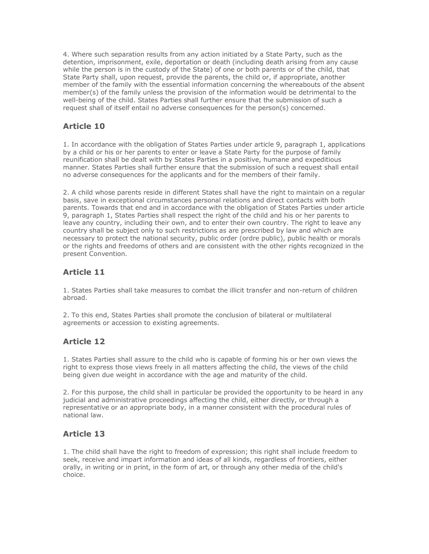4. Where such separation results from any action initiated by a State Party, such as the detention, imprisonment, exile, deportation or death (including death arising from any cause while the person is in the custody of the State) of one or both parents or of the child, that State Party shall, upon request, provide the parents, the child or, if appropriate, another member of the family with the essential information concerning the whereabouts of the absent member(s) of the family unless the provision of the information would be detrimental to the well-being of the child. States Parties shall further ensure that the submission of such a request shall of itself entail no adverse consequences for the person(s) concerned.

# **Article 10**

1. In accordance with the obligation of States Parties under article 9, paragraph 1, applications by a child or his or her parents to enter or leave a State Party for the purpose of family reunification shall be dealt with by States Parties in a positive, humane and expeditious manner. States Parties shall further ensure that the submission of such a request shall entail no adverse consequences for the applicants and for the members of their family.

2. A child whose parents reside in different States shall have the right to maintain on a regular basis, save in exceptional circumstances personal relations and direct contacts with both parents. Towards that end and in accordance with the obligation of States Parties under article 9, paragraph 1, States Parties shall respect the right of the child and his or her parents to leave any country, including their own, and to enter their own country. The right to leave any country shall be subject only to such restrictions as are prescribed by law and which are necessary to protect the national security, public order (ordre public), public health or morals or the rights and freedoms of others and are consistent with the other rights recognized in the present Convention.

# **Article 11**

1. States Parties shall take measures to combat the illicit transfer and non-return of children abroad.

2. To this end, States Parties shall promote the conclusion of bilateral or multilateral agreements or accession to existing agreements.

# **Article 12**

1. States Parties shall assure to the child who is capable of forming his or her own views the right to express those views freely in all matters affecting the child, the views of the child being given due weight in accordance with the age and maturity of the child.

2. For this purpose, the child shall in particular be provided the opportunity to be heard in any judicial and administrative proceedings affecting the child, either directly, or through a representative or an appropriate body, in a manner consistent with the procedural rules of national law.

# **Article 13**

1. The child shall have the right to freedom of expression; this right shall include freedom to seek, receive and impart information and ideas of all kinds, regardless of frontiers, either orally, in writing or in print, in the form of art, or through any other media of the child's choice.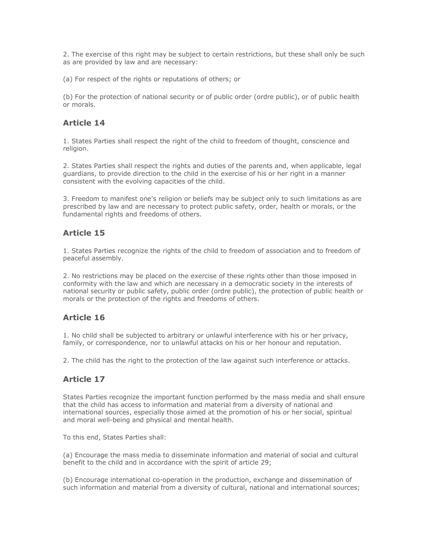2. The exercise of this right may be subject to certain restrictions, but these shall only be such as are provided by law and are necessary:

(a) For respect of the rights or reputations of others; or

(b) For the protection of national security or of public order (ordre public), or of public health or morals.

### **Article 14**

1. States Parties shall respect the right of the child to freedom of thought, conscience and religion.

2. States Parties shall respect the rights and duties of the parents and, when applicable, legal guardians, to provide direction to the child in the exercise of his or her right in a manner consistent with the evolving capacities of the child.

3. Freedom to manifest one's religion or beliefs may be subject only to such limitations as are prescribed by law and are necessary to protect public safety, order, health or morals, or the fundamental rights and freedoms of others.

## **Article 15**

1. States Parties recognize the rights of the child to freedom of association and to freedom of peaceful assembly.

2. No restrictions may be placed on the exercise of these rights other than those imposed in conformity with the law and which are necessary in a democratic society in the interests of national security or public safety, public order (ordre public), the protection of public health or morals or the protection of the rights and freedoms of others.

### **Article 16**

1. No child shall be subjected to arbitrary or unlawful interference with his or her privacy, family, or correspondence, nor to unlawful attacks on his or her honour and reputation.

2. The child has the right to the protection of the law against such interference or attacks.

# **Article 17**

States Parties recognize the important function performed by the mass media and shall ensure that the child has access to information and material from a diversity of national and international sources, especially those aimed at the promotion of his or her social, spiritual and moral well-being and physical and mental health.

To this end, States Parties shall:

(a) Encourage the mass media to disseminate information and material of social and cultural benefit to the child and in accordance with the spirit of article 29;

(b) Encourage international co-operation in the production, exchange and dissemination of such information and material from a diversity of cultural, national and international sources;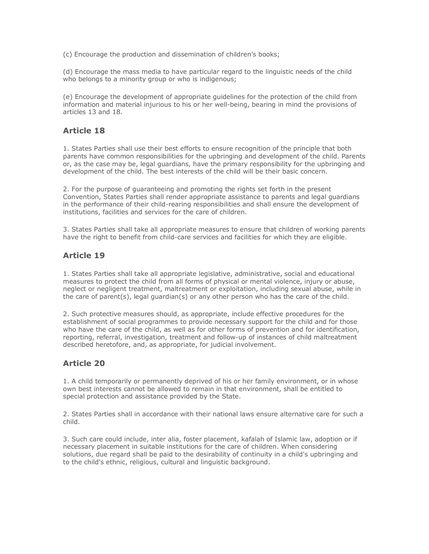(c) Encourage the production and dissemination of children's books;

(d) Encourage the mass media to have particular regard to the linguistic needs of the child who belongs to a minority group or who is indigenous;

(e) Encourage the development of appropriate guidelines for the protection of the child from information and material injurious to his or her well-being, bearing in mind the provisions of articles 13 and 18.

### **Article 18**

1. States Parties shall use their best efforts to ensure recognition of the principle that both parents have common responsibilities for the upbringing and development of the child. Parents or, as the case may be, legal guardians, have the primary responsibility for the upbringing and development of the child. The best interests of the child will be their basic concern.

2. For the purpose of guaranteeing and promoting the rights set forth in the present Convention, States Parties shall render appropriate assistance to parents and legal guardians in the performance of their child-rearing responsibilities and shall ensure the development of institutions, facilities and services for the care of children.

3. States Parties shall take all appropriate measures to ensure that children of working parents have the right to benefit from child-care services and facilities for which they are eligible.

## **Article 19**

1. States Parties shall take all appropriate legislative, administrative, social and educational measures to protect the child from all forms of physical or mental violence, injury or abuse, neglect or negligent treatment, maltreatment or exploitation, including sexual abuse, while in the care of parent(s), legal guardian(s) or any other person who has the care of the child.

2. Such protective measures should, as appropriate, include effective procedures for the establishment of social programmes to provide necessary support for the child and for those who have the care of the child, as well as for other forms of prevention and for identification, reporting, referral, investigation, treatment and follow-up of instances of child maltreatment described heretofore, and, as appropriate, for judicial involvement.

# **Article 20**

1. A child temporarily or permanently deprived of his or her family environment, or in whose own best interests cannot be allowed to remain in that environment, shall be entitled to special protection and assistance provided by the State.

2. States Parties shall in accordance with their national laws ensure alternative care for such a child.

3. Such care could include, inter alia, foster placement, kafalah of Islamic law, adoption or if necessary placement in suitable institutions for the care of children. When considering solutions, due regard shall be paid to the desirability of continuity in a child's upbringing and to the child's ethnic, religious, cultural and linguistic background.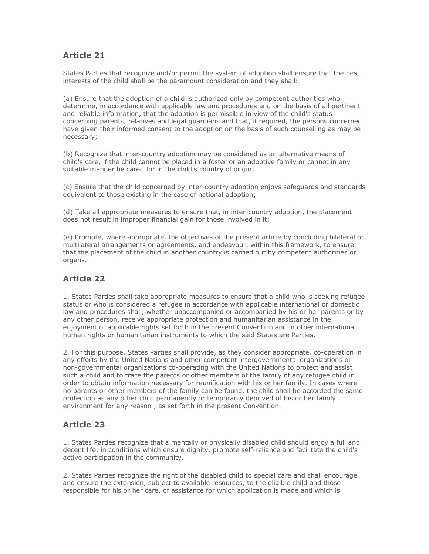States Parties that recognize and/or permit the system of adoption shall ensure that the best interests of the child shall be the paramount consideration and they shall:

(a) Ensure that the adoption of a child is authorized only by competent authorities who determine, in accordance with applicable law and procedures and on the basis of all pertinent and reliable information, that the adoption is permissible in view of the child's status concerning parents, relatives and legal guardians and that, if required, the persons concerned have given their informed consent to the adoption on the basis of such counselling as may be necessary;

(b) Recognize that inter-country adoption may be considered as an alternative means of child's care, if the child cannot be placed in a foster or an adoptive family or cannot in any suitable manner be cared for in the child's country of origin;

(c) Ensure that the child concerned by inter-country adoption enjoys safeguards and standards equivalent to those existing in the case of national adoption;

(d) Take all appropriate measures to ensure that, in inter-country adoption, the placement does not result in improper financial gain for those involved in it;

(e) Promote, where appropriate, the objectives of the present article by concluding bilateral or multilateral arrangements or agreements, and endeavour, within this framework, to ensure that the placement of the child in another country is carried out by competent authorities or organs.

## **Article 22**

1. States Parties shall take appropriate measures to ensure that a child who is seeking refugee status or who is considered a refugee in accordance with applicable international or domestic law and procedures shall, whether unaccompanied or accompanied by his or her parents or by any other person, receive appropriate protection and humanitarian assistance in the enjoyment of applicable rights set forth in the present Convention and in other international human rights or humanitarian instruments to which the said States are Parties.

2. For this purpose, States Parties shall provide, as they consider appropriate, co-operation in any efforts by the United Nations and other competent intergovernmental organizations or non-governmental organizations co-operating with the United Nations to protect and assist such a child and to trace the parents or other members of the family of any refugee child in order to obtain information necessary for reunification with his or her family. In cases where no parents or other members of the family can be found, the child shall be accorded the same protection as any other child permanently or temporarily deprived of his or her family environment for any reason , as set forth in the present Convention.

# **Article 23**

1. States Parties recognize that a mentally or physically disabled child should enjoy a full and decent life, in conditions which ensure dignity, promote self-reliance and facilitate the child's active participation in the community.

2. States Parties recognize the right of the disabled child to special care and shall encourage and ensure the extension, subject to available resources, to the eligible child and those responsible for his or her care, of assistance for which application is made and which is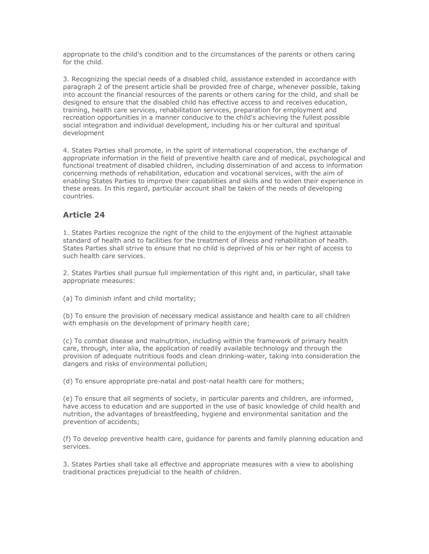appropriate to the child's condition and to the circumstances of the parents or others caring for the child.

3. Recognizing the special needs of a disabled child, assistance extended in accordance with paragraph 2 of the present article shall be provided free of charge, whenever possible, taking into account the financial resources of the parents or others caring for the child, and shall be designed to ensure that the disabled child has effective access to and receives education, training, health care services, rehabilitation services, preparation for employment and recreation opportunities in a manner conducive to the child's achieving the fullest possible social integration and individual development, including his or her cultural and spiritual development

4. States Parties shall promote, in the spirit of international cooperation, the exchange of appropriate information in the field of preventive health care and of medical, psychological and functional treatment of disabled children, including dissemination of and access to information concerning methods of rehabilitation, education and vocational services, with the aim of enabling States Parties to improve their capabilities and skills and to widen their experience in these areas. In this regard, particular account shall be taken of the needs of developing countries.

# **Article 24**

1. States Parties recognize the right of the child to the enjoyment of the highest attainable standard of health and to facilities for the treatment of illness and rehabilitation of health. States Parties shall strive to ensure that no child is deprived of his or her right of access to such health care services.

2. States Parties shall pursue full implementation of this right and, in particular, shall take appropriate measures:

(a) To diminish infant and child mortality;

(b) To ensure the provision of necessary medical assistance and health care to all children with emphasis on the development of primary health care;

(c) To combat disease and malnutrition, including within the framework of primary health care, through, inter alia, the application of readily available technology and through the provision of adequate nutritious foods and clean drinking-water, taking into consideration the dangers and risks of environmental pollution;

(d) To ensure appropriate pre-natal and post-natal health care for mothers;

(e) To ensure that all segments of society, in particular parents and children, are informed, have access to education and are supported in the use of basic knowledge of child health and nutrition, the advantages of breastfeeding, hygiene and environmental sanitation and the prevention of accidents;

(f) To develop preventive health care, guidance for parents and family planning education and services.

3. States Parties shall take all effective and appropriate measures with a view to abolishing traditional practices prejudicial to the health of children.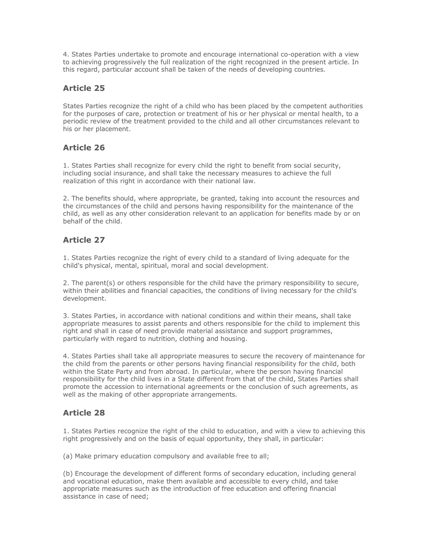4. States Parties undertake to promote and encourage international co-operation with a view to achieving progressively the full realization of the right recognized in the present article. In this regard, particular account shall be taken of the needs of developing countries.

# **Article 25**

States Parties recognize the right of a child who has been placed by the competent authorities for the purposes of care, protection or treatment of his or her physical or mental health, to a periodic review of the treatment provided to the child and all other circumstances relevant to his or her placement.

# **Article 26**

1. States Parties shall recognize for every child the right to benefit from social security, including social insurance, and shall take the necessary measures to achieve the full realization of this right in accordance with their national law.

2. The benefits should, where appropriate, be granted, taking into account the resources and the circumstances of the child and persons having responsibility for the maintenance of the child, as well as any other consideration relevant to an application for benefits made by or on behalf of the child.

# **Article 27**

1. States Parties recognize the right of every child to a standard of living adequate for the child's physical, mental, spiritual, moral and social development.

2. The parent(s) or others responsible for the child have the primary responsibility to secure, within their abilities and financial capacities, the conditions of living necessary for the child's development.

3. States Parties, in accordance with national conditions and within their means, shall take appropriate measures to assist parents and others responsible for the child to implement this right and shall in case of need provide material assistance and support programmes, particularly with regard to nutrition, clothing and housing.

4. States Parties shall take all appropriate measures to secure the recovery of maintenance for the child from the parents or other persons having financial responsibility for the child, both within the State Party and from abroad. In particular, where the person having financial responsibility for the child lives in a State different from that of the child, States Parties shall promote the accession to international agreements or the conclusion of such agreements, as well as the making of other appropriate arrangements.

# **Article 28**

1. States Parties recognize the right of the child to education, and with a view to achieving this right progressively and on the basis of equal opportunity, they shall, in particular:

(a) Make primary education compulsory and available free to all;

(b) Encourage the development of different forms of secondary education, including general and vocational education, make them available and accessible to every child, and take appropriate measures such as the introduction of free education and offering financial assistance in case of need;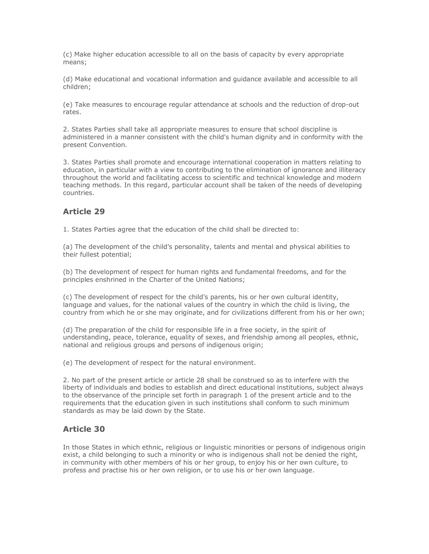(c) Make higher education accessible to all on the basis of capacity by every appropriate means;

(d) Make educational and vocational information and guidance available and accessible to all children;

(e) Take measures to encourage regular attendance at schools and the reduction of drop-out rates.

2. States Parties shall take all appropriate measures to ensure that school discipline is administered in a manner consistent with the child's human dignity and in conformity with the present Convention.

3. States Parties shall promote and encourage international cooperation in matters relating to education, in particular with a view to contributing to the elimination of ignorance and illiteracy throughout the world and facilitating access to scientific and technical knowledge and modern teaching methods. In this regard, particular account shall be taken of the needs of developing countries.

## **Article 29**

1. States Parties agree that the education of the child shall be directed to:

(a) The development of the child's personality, talents and mental and physical abilities to their fullest potential;

(b) The development of respect for human rights and fundamental freedoms, and for the principles enshrined in the Charter of the United Nations;

(c) The development of respect for the child's parents, his or her own cultural identity, language and values, for the national values of the country in which the child is living, the country from which he or she may originate, and for civilizations different from his or her own;

(d) The preparation of the child for responsible life in a free society, in the spirit of understanding, peace, tolerance, equality of sexes, and friendship among all peoples, ethnic, national and religious groups and persons of indigenous origin;

(e) The development of respect for the natural environment.

2. No part of the present article or article 28 shall be construed so as to interfere with the liberty of individuals and bodies to establish and direct educational institutions, subject always to the observance of the principle set forth in paragraph 1 of the present article and to the requirements that the education given in such institutions shall conform to such minimum standards as may be laid down by the State.

### **Article 30**

In those States in which ethnic, religious or linguistic minorities or persons of indigenous origin exist, a child belonging to such a minority or who is indigenous shall not be denied the right, in community with other members of his or her group, to enjoy his or her own culture, to profess and practise his or her own religion, or to use his or her own language.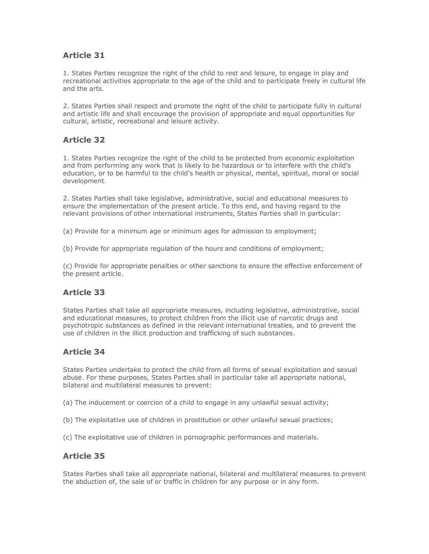1. States Parties recognize the right of the child to rest and leisure, to engage in play and recreational activities appropriate to the age of the child and to participate freely in cultural life and the arts.

2. States Parties shall respect and promote the right of the child to participate fully in cultural and artistic life and shall encourage the provision of appropriate and equal opportunities for cultural, artistic, recreational and leisure activity.

# **Article 32**

1. States Parties recognize the right of the child to be protected from economic exploitation and from performing any work that is likely to be hazardous or to interfere with the child's education, or to be harmful to the child's health or physical, mental, spiritual, moral or social development.

2. States Parties shall take legislative, administrative, social and educational measures to ensure the implementation of the present article. To this end, and having regard to the relevant provisions of other international instruments, States Parties shall in particular:

(a) Provide for a minimum age or minimum ages for admission to employment;

(b) Provide for appropriate regulation of the hours and conditions of employment;

(c) Provide for appropriate penalties or other sanctions to ensure the effective enforcement of the present article.

# **Article 33**

States Parties shall take all appropriate measures, including legislative, administrative, social and educational measures, to protect children from the illicit use of narcotic drugs and psychotropic substances as defined in the relevant international treaties, and to prevent the use of children in the illicit production and trafficking of such substances.

# **Article 34**

States Parties undertake to protect the child from all forms of sexual exploitation and sexual abuse. For these purposes, States Parties shall in particular take all appropriate national, bilateral and multilateral measures to prevent:

(a) The inducement or coercion of a child to engage in any unlawful sexual activity;

(b) The exploitative use of children in prostitution or other unlawful sexual practices;

(c) The exploitative use of children in pornographic performances and materials.

# **Article 35**

States Parties shall take all appropriate national, bilateral and multilateral measures to prevent the abduction of, the sale of or traffic in children for any purpose or in any form.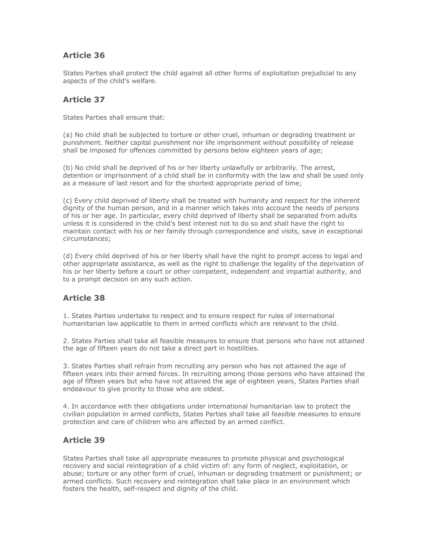States Parties shall protect the child against all other forms of exploitation prejudicial to any aspects of the child's welfare.

## **Article 37**

States Parties shall ensure that:

(a) No child shall be subjected to torture or other cruel, inhuman or degrading treatment or punishment. Neither capital punishment nor life imprisonment without possibility of release shall be imposed for offences committed by persons below eighteen years of age;

(b) No child shall be deprived of his or her liberty unlawfully or arbitrarily. The arrest, detention or imprisonment of a child shall be in conformity with the law and shall be used only as a measure of last resort and for the shortest appropriate period of time;

(c) Every child deprived of liberty shall be treated with humanity and respect for the inherent dignity of the human person, and in a manner which takes into account the needs of persons of his or her age. In particular, every child deprived of liberty shall be separated from adults unless it is considered in the child's best interest not to do so and shall have the right to maintain contact with his or her family through correspondence and visits, save in exceptional circumstances;

(d) Every child deprived of his or her liberty shall have the right to prompt access to legal and other appropriate assistance, as well as the right to challenge the legality of the deprivation of his or her liberty before a court or other competent, independent and impartial authority, and to a prompt decision on any such action.

# **Article 38**

1. States Parties undertake to respect and to ensure respect for rules of international humanitarian law applicable to them in armed conflicts which are relevant to the child.

2. States Parties shall take all feasible measures to ensure that persons who have not attained the age of fifteen years do not take a direct part in hostilities.

3. States Parties shall refrain from recruiting any person who has not attained the age of fifteen years into their armed forces. In recruiting among those persons who have attained the age of fifteen years but who have not attained the age of eighteen years, States Parties shall endeavour to give priority to those who are oldest.

4. In accordance with their obligations under international humanitarian law to protect the civilian population in armed conflicts, States Parties shall take all feasible measures to ensure protection and care of children who are affected by an armed conflict.

# **Article 39**

States Parties shall take all appropriate measures to promote physical and psychological recovery and social reintegration of a child victim of: any form of neglect, exploitation, or abuse; torture or any other form of cruel, inhuman or degrading treatment or punishment; or armed conflicts. Such recovery and reintegration shall take place in an environment which fosters the health, self-respect and dignity of the child.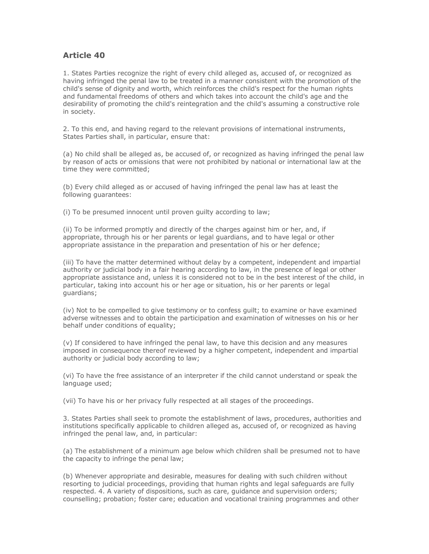1. States Parties recognize the right of every child alleged as, accused of, or recognized as having infringed the penal law to be treated in a manner consistent with the promotion of the child's sense of dignity and worth, which reinforces the child's respect for the human rights and fundamental freedoms of others and which takes into account the child's age and the desirability of promoting the child's reintegration and the child's assuming a constructive role in society.

2. To this end, and having regard to the relevant provisions of international instruments, States Parties shall, in particular, ensure that:

(a) No child shall be alleged as, be accused of, or recognized as having infringed the penal law by reason of acts or omissions that were not prohibited by national or international law at the time they were committed;

(b) Every child alleged as or accused of having infringed the penal law has at least the following guarantees:

(i) To be presumed innocent until proven guilty according to law;

(ii) To be informed promptly and directly of the charges against him or her, and, if appropriate, through his or her parents or legal guardians, and to have legal or other appropriate assistance in the preparation and presentation of his or her defence;

(iii) To have the matter determined without delay by a competent, independent and impartial authority or judicial body in a fair hearing according to law, in the presence of legal or other appropriate assistance and, unless it is considered not to be in the best interest of the child, in particular, taking into account his or her age or situation, his or her parents or legal guardians;

(iv) Not to be compelled to give testimony or to confess guilt; to examine or have examined adverse witnesses and to obtain the participation and examination of witnesses on his or her behalf under conditions of equality;

(v) If considered to have infringed the penal law, to have this decision and any measures imposed in consequence thereof reviewed by a higher competent, independent and impartial authority or judicial body according to law;

(vi) To have the free assistance of an interpreter if the child cannot understand or speak the language used;

(vii) To have his or her privacy fully respected at all stages of the proceedings.

3. States Parties shall seek to promote the establishment of laws, procedures, authorities and institutions specifically applicable to children alleged as, accused of, or recognized as having infringed the penal law, and, in particular:

(a) The establishment of a minimum age below which children shall be presumed not to have the capacity to infringe the penal law;

(b) Whenever appropriate and desirable, measures for dealing with such children without resorting to judicial proceedings, providing that human rights and legal safeguards are fully respected. 4. A variety of dispositions, such as care, guidance and supervision orders; counselling; probation; foster care; education and vocational training programmes and other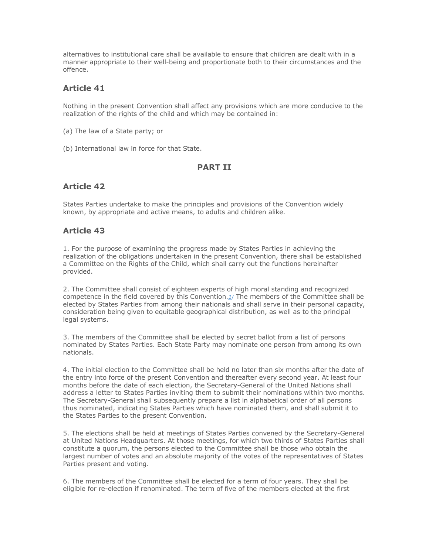alternatives to institutional care shall be available to ensure that children are dealt with in a manner appropriate to their well-being and proportionate both to their circumstances and the offence.

## **Article 41**

Nothing in the present Convention shall affect any provisions which are more conducive to the realization of the rights of the child and which may be contained in:

(a) The law of a State party; or

(b) International law in force for that State.

#### **PART II**

### **Article 42**

States Parties undertake to make the principles and provisions of the Convention widely known, by appropriate and active means, to adults and children alike.

### **Article 43**

1. For the purpose of examining the progress made by States Parties in achieving the realization of the obligations undertaken in the present Convention, there shall be established a Committee on the Rights of the Child, which shall carry out the functions hereinafter provided.

2. The Committee shall consist of eighteen experts of high moral standing and recognized competence in the field covered by this Convention.*1*/ The members of the Committee shall be elected by States Parties from among their nationals and shall serve in their personal capacity, consideration being given to equitable geographical distribution, as well as to the principal legal systems.

3. The members of the Committee shall be elected by secret ballot from a list of persons nominated by States Parties. Each State Party may nominate one person from among its own nationals.

4. The initial election to the Committee shall be held no later than six months after the date of the entry into force of the present Convention and thereafter every second year. At least four months before the date of each election, the Secretary-General of the United Nations shall address a letter to States Parties inviting them to submit their nominations within two months. The Secretary-General shall subsequently prepare a list in alphabetical order of all persons thus nominated, indicating States Parties which have nominated them, and shall submit it to the States Parties to the present Convention.

5. The elections shall be held at meetings of States Parties convened by the Secretary-General at United Nations Headquarters. At those meetings, for which two thirds of States Parties shall constitute a quorum, the persons elected to the Committee shall be those who obtain the largest number of votes and an absolute majority of the votes of the representatives of States Parties present and voting.

6. The members of the Committee shall be elected for a term of four years. They shall be eligible for re-election if renominated. The term of five of the members elected at the first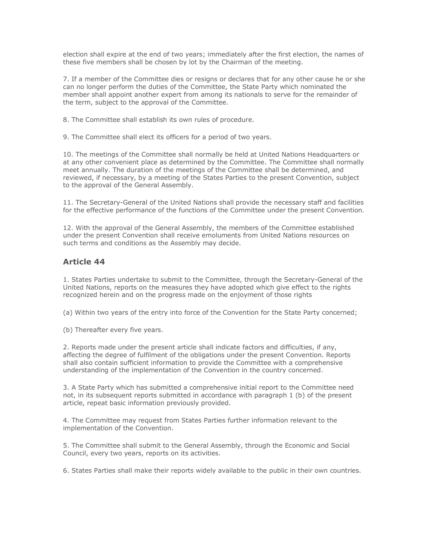election shall expire at the end of two years; immediately after the first election, the names of these five members shall be chosen by lot by the Chairman of the meeting.

7. If a member of the Committee dies or resigns or declares that for any other cause he or she can no longer perform the duties of the Committee, the State Party which nominated the member shall appoint another expert from among its nationals to serve for the remainder of the term, subject to the approval of the Committee.

8. The Committee shall establish its own rules of procedure.

9. The Committee shall elect its officers for a period of two years.

10. The meetings of the Committee shall normally be held at United Nations Headquarters or at any other convenient place as determined by the Committee. The Committee shall normally meet annually. The duration of the meetings of the Committee shall be determined, and reviewed, if necessary, by a meeting of the States Parties to the present Convention, subject to the approval of the General Assembly.

11. The Secretary-General of the United Nations shall provide the necessary staff and facilities for the effective performance of the functions of the Committee under the present Convention.

12. With the approval of the General Assembly, the members of the Committee established under the present Convention shall receive emoluments from United Nations resources on such terms and conditions as the Assembly may decide.

### **Article 44**

1. States Parties undertake to submit to the Committee, through the Secretary-General of the United Nations, reports on the measures they have adopted which give effect to the rights recognized herein and on the progress made on the enjoyment of those rights

(a) Within two years of the entry into force of the Convention for the State Party concerned;

(b) Thereafter every five years.

2. Reports made under the present article shall indicate factors and difficulties, if any, affecting the degree of fulfilment of the obligations under the present Convention. Reports shall also contain sufficient information to provide the Committee with a comprehensive understanding of the implementation of the Convention in the country concerned.

3. A State Party which has submitted a comprehensive initial report to the Committee need not, in its subsequent reports submitted in accordance with paragraph 1 (b) of the present article, repeat basic information previously provided.

4. The Committee may request from States Parties further information relevant to the implementation of the Convention.

5. The Committee shall submit to the General Assembly, through the Economic and Social Council, every two years, reports on its activities.

6. States Parties shall make their reports widely available to the public in their own countries.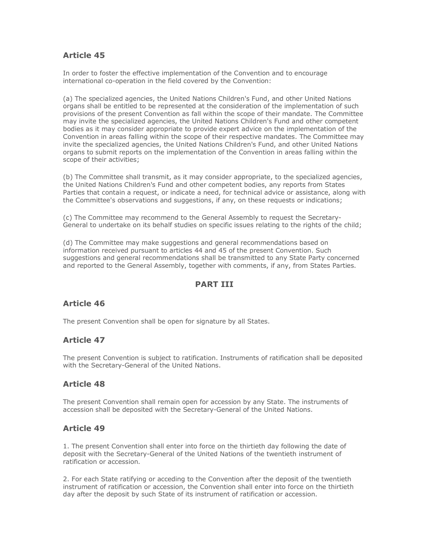In order to foster the effective implementation of the Convention and to encourage international co-operation in the field covered by the Convention:

(a) The specialized agencies, the United Nations Children's Fund, and other United Nations organs shall be entitled to be represented at the consideration of the implementation of such provisions of the present Convention as fall within the scope of their mandate. The Committee may invite the specialized agencies, the United Nations Children's Fund and other competent bodies as it may consider appropriate to provide expert advice on the implementation of the Convention in areas falling within the scope of their respective mandates. The Committee may invite the specialized agencies, the United Nations Children's Fund, and other United Nations organs to submit reports on the implementation of the Convention in areas falling within the scope of their activities;

(b) The Committee shall transmit, as it may consider appropriate, to the specialized agencies, the United Nations Children's Fund and other competent bodies, any reports from States Parties that contain a request, or indicate a need, for technical advice or assistance, along with the Committee's observations and suggestions, if any, on these requests or indications;

(c) The Committee may recommend to the General Assembly to request the Secretary-General to undertake on its behalf studies on specific issues relating to the rights of the child;

(d) The Committee may make suggestions and general recommendations based on information received pursuant to articles 44 and 45 of the present Convention. Such suggestions and general recommendations shall be transmitted to any State Party concerned and reported to the General Assembly, together with comments, if any, from States Parties.

### **PART III**

### **Article 46**

The present Convention shall be open for signature by all States.

### **Article 47**

The present Convention is subject to ratification. Instruments of ratification shall be deposited with the Secretary-General of the United Nations.

#### **Article 48**

The present Convention shall remain open for accession by any State. The instruments of accession shall be deposited with the Secretary-General of the United Nations.

#### **Article 49**

1. The present Convention shall enter into force on the thirtieth day following the date of deposit with the Secretary-General of the United Nations of the twentieth instrument of ratification or accession.

2. For each State ratifying or acceding to the Convention after the deposit of the twentieth instrument of ratification or accession, the Convention shall enter into force on the thirtieth day after the deposit by such State of its instrument of ratification or accession.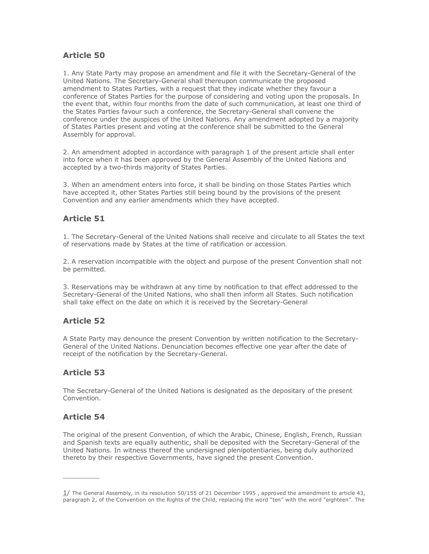1. Any State Party may propose an amendment and file it with the Secretary-General of the United Nations. The Secretary-General shall thereupon communicate the proposed amendment to States Parties, with a request that they indicate whether they favour a conference of States Parties for the purpose of considering and voting upon the proposals. In the event that, within four months from the date of such communication, at least one third of the States Parties favour such a conference, the Secretary-General shall convene the conference under the auspices of the United Nations. Any amendment adopted by a majority of States Parties present and voting at the conference shall be submitted to the General Assembly for approval.

2. An amendment adopted in accordance with paragraph 1 of the present article shall enter into force when it has been approved by the General Assembly of the United Nations and accepted by a two-thirds majority of States Parties.

3. When an amendment enters into force, it shall be binding on those States Parties which have accepted it, other States Parties still being bound by the provisions of the present Convention and any earlier amendments which they have accepted.

# **Article 51**

1. The Secretary-General of the United Nations shall receive and circulate to all States the text of reservations made by States at the time of ratification or accession.

2. A reservation incompatible with the object and purpose of the present Convention shall not be permitted.

3. Reservations may be withdrawn at any time by notification to that effect addressed to the Secretary-General of the United Nations, who shall then inform all States. Such notification shall take effect on the date on which it is received by the Secretary-General

# **Article 52**

A State Party may denounce the present Convention by written notification to the Secretary-General of the United Nations. Denunciation becomes effective one year after the date of receipt of the notification by the Secretary-General.

# **Article 53**

The Secretary-General of the United Nations is designated as the depositary of the present Convention.

# **Article 54**

 $\overline{\phantom{a}}$ 

The original of the present Convention, of which the Arabic, Chinese, English, French, Russian and Spanish texts are equally authentic, shall be deposited with the Secretary-General of the United Nations. In witness thereof the undersigned plenipotentiaries, being duly authorized thereto by their respective Governments, have signed the present Convention.

 $1/$  The General Assembly, in its resolution 50/155 of 21 December 1995, approved the amendment to article 43, paragraph 2, of the Convention on the Rights of the Child, replacing the word "ten" with the word "eighteen". The